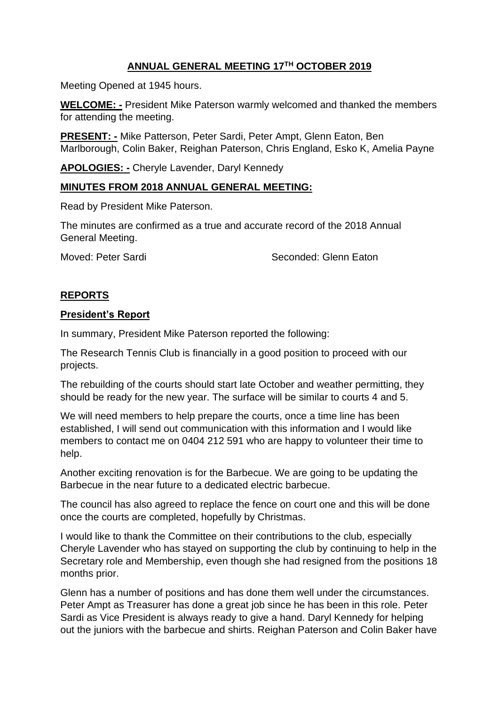# **ANNUAL GENERAL MEETING 17TH OCTOBER 2019**

Meeting Opened at 1945 hours.

**WELCOME: -** President Mike Paterson warmly welcomed and thanked the members for attending the meeting.

**PRESENT: -** Mike Patterson, Peter Sardi, Peter Ampt, Glenn Eaton, Ben Marlborough, Colin Baker, Reighan Paterson, Chris England, Esko K, Amelia Payne

**APOLOGIES: -** Cheryle Lavender, Daryl Kennedy

#### **MINUTES FROM 2018 ANNUAL GENERAL MEETING:**

Read by President Mike Paterson.

The minutes are confirmed as a true and accurate record of the 2018 Annual General Meeting.

Moved: Peter Sardi Seconded: Glenn Eaton

#### **REPORTS**

#### **President's Report**

In summary, President Mike Paterson reported the following:

The Research Tennis Club is financially in a good position to proceed with our projects.

The rebuilding of the courts should start late October and weather permitting, they should be ready for the new year. The surface will be similar to courts 4 and 5.

We will need members to help prepare the courts, once a time line has been established, I will send out communication with this information and I would like members to contact me on 0404 212 591 who are happy to volunteer their time to help.

Another exciting renovation is for the Barbecue. We are going to be updating the Barbecue in the near future to a dedicated electric barbecue.

The council has also agreed to replace the fence on court one and this will be done once the courts are completed, hopefully by Christmas.

I would like to thank the Committee on their contributions to the club, especially Cheryle Lavender who has stayed on supporting the club by continuing to help in the Secretary role and Membership, even though she had resigned from the positions 18 months prior.

Glenn has a number of positions and has done them well under the circumstances. Peter Ampt as Treasurer has done a great job since he has been in this role. Peter Sardi as Vice President is always ready to give a hand. Daryl Kennedy for helping out the juniors with the barbecue and shirts. Reighan Paterson and Colin Baker have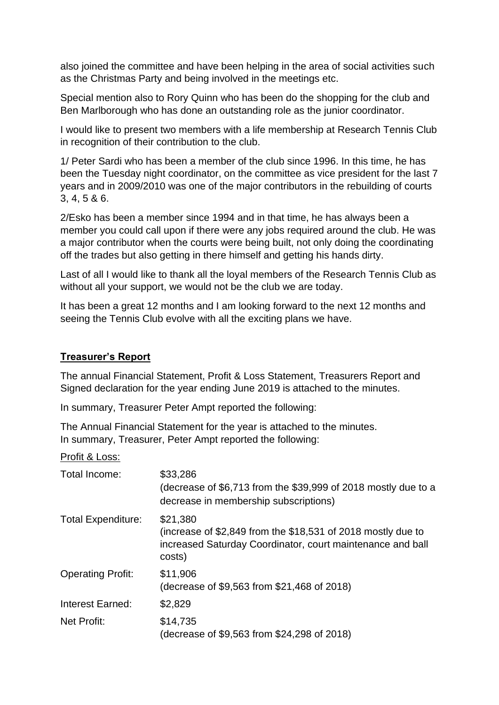also joined the committee and have been helping in the area of social activities such as the Christmas Party and being involved in the meetings etc.

Special mention also to Rory Quinn who has been do the shopping for the club and Ben Marlborough who has done an outstanding role as the junior coordinator.

I would like to present two members with a life membership at Research Tennis Club in recognition of their contribution to the club.

1/ Peter Sardi who has been a member of the club since 1996. In this time, he has been the Tuesday night coordinator, on the committee as vice president for the last 7 years and in 2009/2010 was one of the major contributors in the rebuilding of courts 3, 4, 5 & 6.

2/Esko has been a member since 1994 and in that time, he has always been a member you could call upon if there were any jobs required around the club. He was a major contributor when the courts were being built, not only doing the coordinating off the trades but also getting in there himself and getting his hands dirty.

Last of all I would like to thank all the loyal members of the Research Tennis Club as without all your support, we would not be the club we are today.

It has been a great 12 months and I am looking forward to the next 12 months and seeing the Tennis Club evolve with all the exciting plans we have.

### **Treasurer's Report**

The annual Financial Statement, Profit & Loss Statement, Treasurers Report and Signed declaration for the year ending June 2019 is attached to the minutes.

In summary, Treasurer Peter Ampt reported the following:

The Annual Financial Statement for the year is attached to the minutes. In summary, Treasurer, Peter Ampt reported the following:

Profit & Loss:

| Total Income:             | \$33,286<br>(decrease of \$6,713 from the \$39,999 of 2018 mostly due to a<br>decrease in membership subscriptions)                              |
|---------------------------|--------------------------------------------------------------------------------------------------------------------------------------------------|
| <b>Total Expenditure:</b> | \$21,380<br>(increase of \$2,849 from the \$18,531 of 2018 mostly due to<br>increased Saturday Coordinator, court maintenance and ball<br>costs) |
| <b>Operating Profit:</b>  | \$11,906<br>(decrease of \$9,563 from \$21,468 of 2018)                                                                                          |
| Interest Earned:          | \$2,829                                                                                                                                          |
| Net Profit:               | \$14,735<br>(decrease of \$9,563 from \$24,298 of 2018)                                                                                          |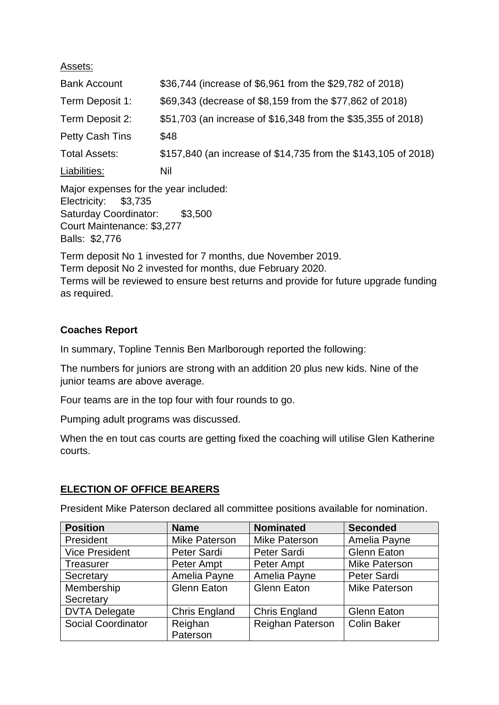Assets:

| \$36,744 (increase of \$6,961 from the \$29,782 of 2018)       |
|----------------------------------------------------------------|
| \$69,343 (decrease of \$8,159 from the \$77,862 of 2018)       |
| \$51,703 (an increase of \$16,348 from the \$35,355 of 2018)   |
| \$48                                                           |
| \$157,840 (an increase of \$14,735 from the \$143,105 of 2018) |
| Nil                                                            |
|                                                                |

Major expenses for the year included: Electricity: \$3,735 Saturday Coordinator: \$3,500 Court Maintenance: \$3,277 Balls: \$2,776

Term deposit No 1 invested for 7 months, due November 2019. Term deposit No 2 invested for months, due February 2020. Terms will be reviewed to ensure best returns and provide for future upgrade funding as required.

# **Coaches Report**

In summary, Topline Tennis Ben Marlborough reported the following:

The numbers for juniors are strong with an addition 20 plus new kids. Nine of the junior teams are above average.

Four teams are in the top four with four rounds to go.

Pumping adult programs was discussed.

When the en tout cas courts are getting fixed the coaching will utilise Glen Katherine courts.

# **ELECTION OF OFFICE BEARERS**

President Mike Paterson declared all committee positions available for nomination.

| <b>Position</b>       | <b>Name</b>          | <b>Nominated</b>     | <b>Seconded</b>      |
|-----------------------|----------------------|----------------------|----------------------|
| President             | Mike Paterson        | <b>Mike Paterson</b> | Amelia Payne         |
| <b>Vice President</b> | <b>Peter Sardi</b>   | <b>Peter Sardi</b>   | <b>Glenn Eaton</b>   |
| <b>Treasurer</b>      | Peter Ampt           | Peter Ampt           | <b>Mike Paterson</b> |
| Secretary             | Amelia Payne         | Amelia Payne         | <b>Peter Sardi</b>   |
| Membership            | <b>Glenn Eaton</b>   | <b>Glenn Eaton</b>   | <b>Mike Paterson</b> |
| Secretary             |                      |                      |                      |
| <b>DVTA Delegate</b>  | <b>Chris England</b> | <b>Chris England</b> | <b>Glenn Eaton</b>   |
| Social Coordinator    | Reighan              | Reighan Paterson     | <b>Colin Baker</b>   |
|                       | Paterson             |                      |                      |